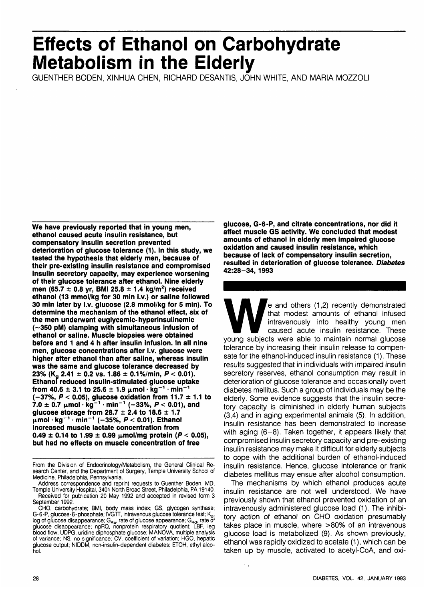# **Effects of Ethanol on Carbohydrate Metabolism in the Elderly**

GUENTHER BODEN, XINHUA CHEN, RICHARD DESANTIS, JOHN WHITE, AND MARIA MOZZOLI

**We have previously reported that in young men, ethanol caused acute insulin resistance, but compensatory insulin secretion prevented deterioration of glucose tolerance (1). In this study, we tested the hypothesis that elderly men, because of their pre-existing insulin resistance and compromised insulin secretory capacity, may experience worsening of their glucose tolerance after ethanol. Nine elderly men (65.7 ± 0.8 yr, BMI 25.8 ± 1.4 kg/m<sup>2</sup> ) received ethanol (13 mmol/kg for 30 min i.v.) or saline followed 30 min later by i.v. glucose (2.8 mmol/kg for 5 min). To determine the mechanism of the ethanol effect, six of the men underwent euglycemic-hyperinsulinemic (-350 pM) clamping with simultaneous infusion of ethanol or saline. Muscle biopsies were obtained before and 1 and 4 h after insulin infusion. In all nine men, glucose concentrations after i.v. glucose were higher after ethanol than after saline, whereas insulin was the same and glucose tolerance decreased by 23% (IC 2.41 ± 0.2 vs. 1.86 ± 0.1%/min, P < 0.01). Ethanol reduced insulin-stimulated glucose uptake**  ${\bf f}$  **rom 40.6**  $\pm$  3.1 to 25.6  $\pm$  1.9  $\mu$ mol  $\cdot$   ${\bf k}$ g $^{-1}$   $\cdot$  min $^{-1}$ **(-37%, P < 0.05), glucose oxidation from 11.7 ± 1.1 to 7.0 ± 0.7 fimol • kg"<sup>1</sup> • min"<sup>1</sup> (-33%, P < 0.01), and glucose storage from 28.7 ± 2.4 to 18.6 ±1.7 fimol • kg"<sup>1</sup> • min"<sup>1</sup> (-35%, P < 0.01). Ethanol increased muscle lactate concentration from**  $0.49 \pm 0.14$  to  $1.99 \pm 0.99$   $\mu$ mol/mg protein (P < 0.05), **but had no effects on muscle concentration of free**

**glucose, G-6-P, and citrate concentrations, nor did it affect muscle GS activity. We concluded that modest amounts of ethanol in elderly men impaired glucose oxidation and caused insulin resistance, which because of lack of compensatory insulin secretion, resulted in deterioration of glucose tolerance. Diabetes 42:28-34, 1993**

e and others (1,2) recently demonstrated<br>
that modest amounts of ethanol infused<br>
intravenously into healthy young men<br>
caused acute insulin resistance. These<br>
young subjects were able to maintain normal glucose that modest amounts of ethanol infused intravenously into healthy young men caused acute insulin resistance. These tolerance by increasing their insulin release to compensate for the ethanol-induced insulin resistance (1). These results suggested that in individuals with impaired insulin secretory reserves, ethanol consumption may result in deterioration of glucose tolerance and occasionally overt diabetes mellitus. Such a group of individuals may be the elderly. Some evidence suggests that the insulin secretory capacity is diminished in elderly human subjects (3,4) and in aging experimental animals (5). In addition, insulin resistance has been demonstrated to increase with aging (6-8). Taken together, it appears likely that compromised insulin secretory capacity and pre-existing insulin resistance may make it difficult for elderly subjects to cope with the additional burden of ethanol-induced insulin resistance. Hence, glucose intolerance or frank diabetes mellitus may ensue after alcohol consumption.

The mechanisms by which ethanol produces acute insulin resistance are not well understood. We have previously shown that ethanol prevented oxidation of an intravenously administered glucose load (1). The inhibitory action of ethanol on CHO oxidation presumably takes place in muscle, where >80% of an intravenous glucose load is metabolized (9). As shown previously, ethanol was rapidly oxidized to acetate (1), which can be taken up by muscle, activated to acetyl-CoA, and oxi-

From the Division of Endocrinology/Metabolism, the General Clinical Research Center, and the Department of Surgery, Temple University School of Medicine, Philadelphia, Pennsylvania.

Address correspondence and reprint requests to Guenther Boden, MD, Temple University Hospital, 3401 North Broad Street, Philadelphia, PA 19140. Received for publication 20 May 1992 and accepted in revised form 3 September 1992.

CHO, carbohydrate; BMI, body mass index; GS, glycogen synthase; G-6-P, glucose-6-phosphate; IVGTT, intravenous glucose tolerance test; K<sub>a</sub>, log of glucose disappearance; G<sub>Ra</sub>, rate of glucose appearance; G<sub>Rd</sub>, rate ōf<br>glucose disappearance; npRQ, nonprotein respiratory quotient; LBF, leg blood flow; UDPG, uridine diphosphate glucose; MANOVA, multiple analysis of variance; NS, no significance; CV, coefficient of variation; HGO, hepatic of variance; NS, no significance; CV, coefficient of variation; HGO, hepatic glucose output; NIDDM, non-insulin-dependent diabetes; ETOH, ethyl alcohol.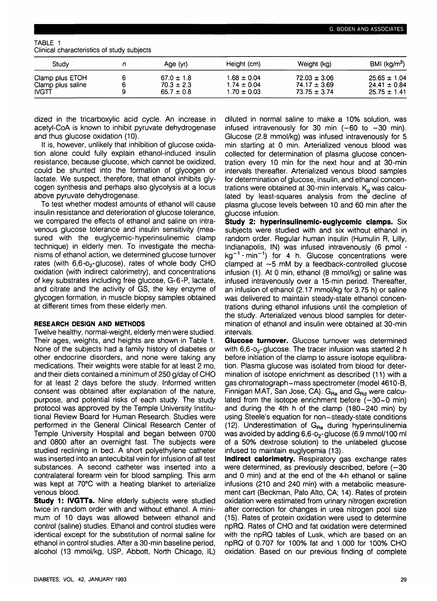| TABLE 1 |                                            |  |  |
|---------|--------------------------------------------|--|--|
|         | Clinical characteristics of study subjects |  |  |

| Stuav                             | Age (yr)                         | Height (cm)                        | Weight (kg)                          | BMI $(kg/m2)$                        |
|-----------------------------------|----------------------------------|------------------------------------|--------------------------------------|--------------------------------------|
| Clamp plus ETOH                   | $67.0 \pm 1.8$                   | $1.68 \pm 0.04$                    | $72.03 \pm 3.06$                     | $25.65 \pm 1.04$                     |
| Clamp plus saline<br><b>IVGTT</b> | $70.3 \pm 2.3$<br>$65.7 \pm 0.8$ | $1.74 \pm 0.04$<br>$1.70 \pm 0.03$ | $74.17 \pm 3.69$<br>$73.75 \pm 3.74$ | $24.41 \pm 0.84$<br>$25.75 \pm 1.41$ |

dized in the tricarboxylic acid cycle. An increase in acetyl-CoA is known to inhibit pyruvate dehydrogenase and thus glucose oxidation (10).

It is, however, unlikely that inhibition of glucose oxidation alone could fully explain ethanol-induced insulin resistance, because glucose, which cannot be oxidized, could be shunted into the formation of glycogen or lactate. We suspect, therefore, that ethanol inhibits glycogen synthesis and perhaps also glycolysis at a locus above pyruvate dehydrogenase.

To test whether modest amounts of ethanol will cause insulin resistance and deterioration of glucose tolerance, we compared the effects of ethanol and saline on intravenous glucose tolerance and insulin sensitivity (measured with the euglycemic-hyperinsulinemic clamp technique) in elderly men. To investigate the mechanisms of ethanol action, we determined glucose turnover rates (with  $6.6 - D<sub>2</sub>$ -glucose), rates of whole body CHO oxidation (with indirect calorimetry), and concentrations of key substrates including free glucose, G-6-P, lactate, and citrate and the activity of GS, the key enzyme of glycogen formation, in muscle biopsy samples obtained at different times from these elderly men.

## **RESEARCH DESIGN AND METHODS**

Twelve healthy, normal-weight, elderly men were studied. Their ages, weights, and heights are shown in Table 1. None of the subjects had a family history of diabetes or other endocrine disorders, and none were taking any medications. Their weights were stable for at least 2 mo, and their diets contained a minimum of 250 g/day of CHO for at least 2 days before the study. Informed written consent was obtained after explanation of the nature, purpose, and potential risks of each study. The study protocol was approved by the Temple University Institutional Review Board for Human Research. Studies were performed in the General Clinical Research Center of Temple University Hospital and began between 0700 and 0800 after an overnight fast. The subjects were studied reclining in bed. A short polyethylene catheter was inserted into an antecubital vein for infusion of all test substances. A second catheter was inserted into a contralateral forearm vein for blood sampling. This arm was kept at 70°C with a heating blanket to arterialize venous blood.

**Study 1: IVGTTs.** Nine elderly subjects were studied twice in random order with and without ethanol. A minimum of 10 days was allowed between ethanol and control (saline) studies. Ethanol and control studies were identical except for the substitution of normal saline for ethanol in control studies. After a 30-min baseline period, alcohol (13 mmol/kg, USP, Abbott, North Chicago, IL)

diluted in normal saline to make a 10% solution, was infused intravenously for 30 min  $(-60 \text{ to } -30 \text{ min})$ . Glucose (2.8 mmol/kg) was infused intravenously for 5 min starting at 0 min. Arterialized venous blood was collected for determination of plasma glucose concentration every 10 min for the next hour and at 30-min intervals thereafter. Arterialized venous blood samples for determination of glucose, insulin, and ethanol concentrations were obtained at 30-min intervals.  $K_q$  was calculated by least-squares analysis from the decline of plasma glucose levels between 10 and 60 min after the glucose infusion.

**Study 2: hyperinsulinemic-euglycemic clamps.** Six subjects were studied with and six without ethanol in random order. Regular human insulin (Humulin R, Lilly, Indianapolis, IN) was infused intravenously (6 pmol  $\cdot$  $kg^{-1} \cdot min^{-1}$ ) for 4 h. Glucose concentrations were clamped at ~5 mM by a feedback-controlled glucose infusion (1). At 0 min, ethanol (8 mmol/kg) or saline was infused intravenously over a 15-min period. Thereafter, an infusion of ethanol (2.17 mmol/kg for 3.75 h) or saline was delivered to maintain steady-state ethanol concentrations during ethanol infusions until the completion of the study. Arterialized venous blood samples for determination of ethanol and insulin were obtained at 30-min intervals.

**Glucose turnover.** Glucose turnover was determined with  $6,6$ - $D_2$ -glucose. The tracer infusion was started 2 h before initiation of the clamp to assure isotope equilibration. Plasma glucose was isolated from blood for determination of isotope enrichment as described (11) with a gas chromatograph-mass spectrometer (model 4610-B, Finnigan MAT, San Jose, CA).  $G_{\text{Ra}}$  and  $G_{\text{Rd}}$  were calculated from the isotope enrichment before  $(-30-0 \text{ min})$ and during the 4th h of the clamp (180-240 min) by using Steele's equation for non-steady-state conditions (12). Underestimation of  $G_{\text{Ra}}$  during hyperinsulinemia was avoided by adding 6,6-D<sub>2</sub>-glucose (6.9 mmol/100 ml of a 50% dextrose solution) to the unlabeled glucose infused to maintain euglycemia (13).

**Indirect calorimetry.** Respiratory gas exchange rates were determined, as previously described, before  $(-30)$ and 0 min) and at the end of the 4-h ethanol or saline infusions (210 and 240 min) with a metabolic measurement cart (Beckman, Palo Alto, CA; 14). Rates of protein oxidation were estimated from urinary nitrogen excretion after correction for changes in urea nitrogen pool size (15). Rates of protein oxidation were used to determine npRQ. Rates of CHO and fat oxidation were determined with the npRQ tables of Lusk, which are based on an npRQ of 0.707 for 100% fat and 1.000 for 100% CHO oxidation. Based on our previous finding of complete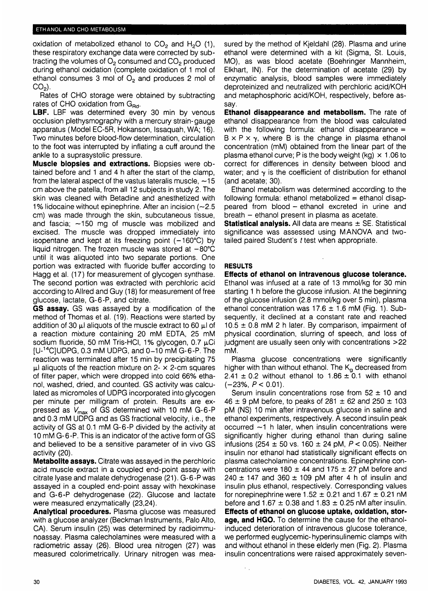oxidation of metabolized ethanol to  $CO<sub>2</sub>$  and H<sub>2</sub>O (1), these respiratory exchange data were corrected by subtracting the volumes of  $O<sub>2</sub>$  consumed and  $CO<sub>2</sub>$  produced during ethanol oxidation (complete oxidation of 1 mol of ethanol consumes 3 mol of  $O<sub>2</sub>$  and produces 2 mol of  $CO<sub>2</sub>$ ).

Rates of CHO storage were obtained by subtracting rates of CHO oxidation from  $G_{\text{Rd}}$ .

LBF. LBF was determined every 30 min by venous occlusion plethysmography with a mercury strain-gauge apparatus (Model EC-5R, Hokanson, Issaquah, WA; 16). Two minutes before blood-flow determination, circulation to the foot was interrupted by inflating a cuff around the ankle to a suprasystolic pressure.

**Muscle biopsies and extractions.** Biopsies were obtained before and 1 and 4 h after the start of the clamp, from the lateral aspect of the vastus lateralis muscle,  $\sim$ 15 cm above the patella, from all 12 subjects in study 2. The skin was cleaned with Betadine and anesthetized with 1% lidocaine without epinephrine. After an incision (~2.5 cm) was made through the skin, subcutaneous tissue, and fascia;  $\sim$ 150 mg of muscle was mobilized and excised. The muscle was dropped immediately into isopentane and kept at its freezing point  $(-160^{\circ}C)$  by liquid nitrogen. The frozen muscle was stored at  $-80^{\circ}$ C until it was aliquoted into two separate portions. One portion was extracted with fluoride buffer according to Hagg et al. (17) for measurement of glycogen synthase. The second portion was extracted with perchloric acid according to Allred and Guy (18) for measurement of free glucose, lactate, G-6-P, and citrate.

**GS assay.** GS was assayed by a modification of the method of Thomas et al. (19). Reactions were started by addition of 30  $\mu$ I aliquots of the muscle extract to 60  $\mu$ I of a reaction mixture containing 20 mM EDTA, 25 mM sodium fluoride, 50 mM Tris-HCI, 1% glycogen, 0.7  $\mu$ Ci  $[U<sup>-14</sup>C]$ UDPG, 0.3 mM UDPG, and 0-10 mM G-6-P. The reaction was terminated after 15 min by precipitating 75  $\mu$ l aliquots of the reaction mixture on 2-  $\times$  2-cm squares of filter paper, which were dropped into cold 66% ethanol, washed, dried, and counted. GS activity was calculated as micromoles of UDPG incorporated into glycogen per minute per milligram of protein. Results are expressed as  $V_{\text{max}}$  of GS determined with 10 mM G-6-P and 0.3 mM UDPG and as GS fractional velocity, i.e., the activity of GS at 0.1 mM G-6-P divided by the activity at 10 mM G-6-P. This is an indicator of the active form of GS and believed to be a sensitive parameter of in vivo GS activity (20).

**Metabolite assays.** Citrate was assayed in the perchloric acid muscle extract in a coupled end-point assay with citrate lyase and malate dehydrogenase (21). G-6-P was assayed in a coupled end-point assay with hexokinase and G-6-P dehydrogenase (22). Glucose and lactate were measured enzymatically (23,24).

**Analytical procedures.** Plasma glucose was measured with a glucose analyzer (Beckman Instruments, Palo Alto, CA). Serum insulin (25) was determined by radioimmunoassay. Plasma calecholamines were measured with a radiometric assay (26). Blood urea nitrogen (27) was measured colorimetrically. Urinary nitrogen was measured by the method of Kjeldahl (28). Plasma and urine ethanol were determined with a kit (Sigma, St. Louis, MO), as was blood acetate (Boehringer Mannheim, Elkhart, IN). For the determination of acetate (29) by enzymatic analysis, blood samples were immediately deproteinized and neutralized with perchloric acid/KOH and metaphosphoric acid/KOH, respectively, before assay.

**Ethanol disappearance and metabolism.** The rate of ethanol disappearance from the blood was calculated with the following formula: ethanol disappearance  $=$  $B \times P \times \gamma$ , where B is the change in plasma ethanol concentration (mM) obtained from the linear part of the plasma ethanol curve; P is the body weight (kg)  $\times$  1.06 to correct for differences in density between blood and water; and  $\gamma$  is the coefficient of distribution for ethanol (and acetate; 30).

Ethanol metabolism was determined according to the following formula: ethanol metabolized  $=$  ethanol disappeared from blood - ethanol excreted in urine and breath - ethanol present in plasma as acetate.

**Statistical analysis.** All data are means  $\pm$  SE. Statistical significance was assessed using MANOVA and twotailed paired Student's t test when appropriate.

# **RESULTS**

**Effects of ethanol on intravenous glucose tolerance.** Ethanol was infused at a rate of 13 mmol/kg for 30 min starting 1 h before the glucose infusion. At the beginning of the glucose infusion (2.8 mmol/kg over 5 min), plasma ethanol concentration was  $17.6 \pm 1.6$  mM (Fig. 1). Subsequently, it declined at a constant rate and reached  $10.5 \pm 0.8$  mM 2 h later. By comparison, impairment of physical coordination, slurring of speech, and loss of judgment are usually seen only with concentrations >22 mM.

Plasma glucose concentrations were significantly higher with than without ethanol. The K<sub>g</sub> decreased from 2.41  $\pm$  0.2 without ethanol to 1.86  $\pm$  0.1 with ethanol  $(-23\%, P < 0.01)$ .

Serum insulin concentrations rose from  $52 \pm 10$  and  $46 \pm 9$  pM before, to peaks of 281  $\pm$  62 and 250  $\pm$  103 pM (NS) 10 min after intravenous glucose in saline and ethanol experiments, respectively. A second insulin peak occurred  $\sim$ 1 h later, when insulin concentrations were significantly higher during ethanol than during saline infusions (254 ± 50 vs. 160 ± 24 pM, P< 0.05). Neither insulin nor ethanol had statistically significant effects on plasma catecholamine concentrations. Epinephrine concentrations were 180  $\pm$  44 and 175  $\pm$  27 pM before and  $240 \pm 147$  and  $360 \pm 109$  pM after 4 h of insulin and insulin plus ethanol, respectively. Corresponding values for norepinephrine were  $1.52 \pm 0.21$  and  $1.67 \pm 0.21$  nM before and  $1.67 \pm 0.38$  and  $1.83 \pm 0.25$  nM after insulin. **Effects of ethanol on glucose uptake, oxidation, storage, and HGO.** To determine the cause for the ethanolinduced deterioration of intravenous glucose tolerance, we performed euglycemic-hyperinsulinemic clamps with and without ethanol in these elderly men (Fig. 2). Plasma insulin concentrations were raised approximately seven-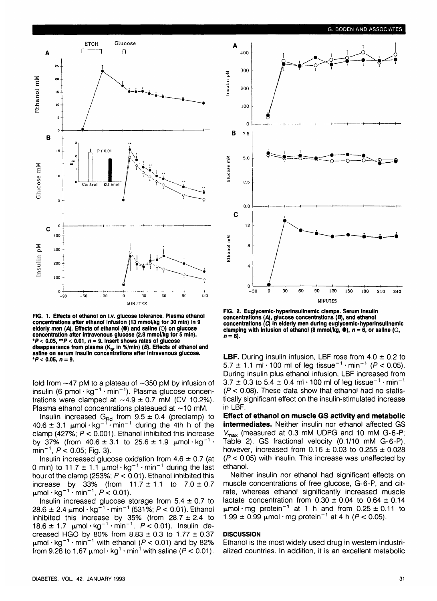

**FIG. 1. Effects of ethanol on i.v. glucose tolerance. Plasma ethanol concentrations after ethanol Infusion (13 mmol/kg for 30 min) In 9 elderly men (A). Effects of ethanol (•) and saline (0) on glucose concentration after Intravenous glucose (2.8 mmol/kg for 5 min). \*P < 0.05, \*\*P < 0.01, n = 9. Insert shows rates of glucose** disappearance from plasma (K<sub>g</sub>, in %/min) (B). Effects of ethanol and **saline on serum Insulin concentrations after intravenous glucose. \*P < 0.05, n = 9.**

fold from  $-47$  pM to a plateau of  $-350$  pM by infusion of insulin (6 pmol·kg $^{-1}$ ·min $^{-1}$ ). Plasma glucose concentrations were clamped at  $\sim$ 4.9  $\pm$  0.7 mM (CV 10.2%). Plasma ethanol concentrations plateaued at  $\sim$ 10 mM.

Insulin increased G<sub>Rd</sub> from  $9.5 \pm 0.4$  (preclamp) to  $40.6 \pm 3.1$   $\mu$ mol·kg<sup>-1</sup>·min<sup>-1</sup> during the 4th h of the clamp (427%;  $P < 0.001$ ). Ethanol inhibited this increase by 37% (from  $40.6 \pm 3.1$  to  $25.6 \pm 1.9$   $\mu$ mol·kg<sup>-1</sup>·  $min^{-1}$ ,  $P < 0.05$ ; Fig. 3).

Insulin increased glucose oxidation from  $4.6 \pm 0.7$  (at 0 min) to 11.7  $\pm$  1.1 µmol · kg<sup>-1</sup> · min<sup>-1</sup> during the last hour of the clamp (253%;  $P < 0.01$ ). Ethanol inhibited this increase by 33% (from  $11.7 \pm 1.1$  to  $7.0 \pm 0.7$  $\mu$ mol • kg $^{-1}$  • min $^{-1}$ ,  $P \approx$  0.01).

Insulin increased glucose storage from  $5.4 \pm 0.7$  to  $28.6 \pm 2.4 \,\mu$ mol · kg<sup>-1</sup> · min<sup>-1</sup> (531%; P < 0.01). Ethanol inhibited this increase by 35% (from  $28.7 \pm 2.4$  to  $18.6 \pm 1.7$   $\mu$ mol·kg<sup>-1</sup>·min<sup>-1</sup>,  $P < 0.01$ ). Insulin decreased HGO by 80% from  $8.83 \pm 0.3$  to  $1.77 \pm 0.37$  $\mu$ mol · kg<sup>-1</sup> · min<sup>-1</sup> with ethanol (P < 0.01) and by 82% from 9.28 to 1.67  $\mu$ mol  $\cdot$  kg<sup>1</sup>  $\cdot$  min<sup>1</sup> with saline (P < 0.01).



**FIG. 2. Eugiycemic-hyperinsuiinemic clamps. Serum Insulin** concentrations (A), glucose concentrations (B), and ethanol **concentrations (Q in elderly men during eugiycemic-hyperinsuiinemic** clamping with infusion of ethanol (8 mmol/kg,  $\bullet$ ),  $n = 6$ , or saline ( $\circ$ ),  $n = 6$ ).

**LBF.** During insulin infusion, LBF rose from 4.0 ± 0.2 to  $5.7 \pm 1.1$  ml $\cdot$  100 ml of leg tissue<sup>-1</sup>  $\cdot$  min<sup>-1</sup> ( $P < 0.05$ ). During insulin plus ethanol infusion, LBF increased from  $3.7 \pm 0.3$  to 5.4  $\pm$  0.4 ml · 100 ml of leg tissue<sup>-1</sup> · min<sup>-1</sup>  $(P < 0.08)$ . These data show that ethanol had no statistically significant effect on the insulin-stimulated increase in LBF.

**Effect of ethanol on muscle GS activity and metabolic intermediates.** Neither insulin nor ethanol affected GS  $V_{\text{max}}$  (measured at 0.3 mM UDPG and 10 mM G-6-P; Table 2). GS fractional velocity (0.1/10 mM G-6-P), however, increased from  $0.16 \pm 0.03$  to  $0.255 \pm 0.028$  $(P < 0.05)$  with insulin. This increase was unaffected by ethanol.

Neither insulin nor ethanol had significant effects on muscle concentrations of free glucose, G-6-P, and citrate, whereas ethanol significantly increased muscle lactate concentration from  $0.30 \pm 0.04$  to  $0.64 \pm 0.14$  $\mu$ mol·mg protein<sup>-1</sup> at 1 h and from 0.25  $\pm$  0.11 to  $1.99 \pm 0.99$   $\mu$ mol · mg protein<sup>-1</sup> at 4 h ( $P < 0.05$ ).

### **DISCUSSION**

Ethanol is the most widely used drug in western industrialized countries. In addition, it is an excellent metabolic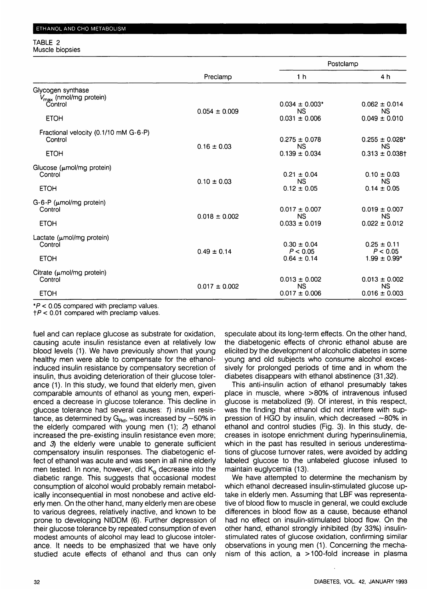#### TABLE 2 Muscle biopsies

|                                                         | Preclamp          | Postclamp                      |                                  |  |
|---------------------------------------------------------|-------------------|--------------------------------|----------------------------------|--|
|                                                         |                   | 1 <sub>h</sub>                 | 4 h                              |  |
| Glycogen synthase<br>V <sub>max</sub> (nmol/mg protein) |                   |                                |                                  |  |
| Control                                                 |                   | $0.034 \pm 0.003*$             | $0.062 \pm 0.014$                |  |
| <b>ETOH</b>                                             | $0.054 \pm 0.009$ | <b>NS</b><br>$0.031 \pm 0.006$ | <b>NS</b><br>$0.049 \pm 0.010$   |  |
| Fractional velocity (0.1/10 mM G-6-P)                   |                   |                                |                                  |  |
| Control                                                 |                   | $0.275 \pm 0.078$              | $0.255 \pm 0.028$ *              |  |
| <b>ETOH</b>                                             | $0.16 \pm 0.03$   | <b>NS</b><br>$0.139 \pm 0.034$ | <b>NS</b><br>$0.313 \pm 0.038$ t |  |
| Glucose (umol/mg protein)                               |                   |                                |                                  |  |
| Control                                                 | $0.10 \pm 0.03$   | $0.21 \pm 0.04$<br>NS.         | $0.10 \pm 0.03$<br><b>NS</b>     |  |
| <b>ETOH</b>                                             |                   | $0.12 \pm 0.05$                | $0.14 \pm 0.05$                  |  |
| $G-6-P$ ( $\mu$ mol/mg protein)                         |                   |                                |                                  |  |
| Control                                                 | $0.018 \pm 0.002$ | $0.017 \pm 0.007$<br><b>NS</b> | $0.019 \pm 0.007$<br><b>NS</b>   |  |
| <b>ETOH</b>                                             |                   | $0.033 \pm 0.019$              | $0.022 \pm 0.012$                |  |
| Lactate (umol/mg protein)                               |                   |                                |                                  |  |
| Control                                                 | $0.49 \pm 0.14$   | $0.30 \pm 0.04$<br>P < 0.05    | $0.25 \pm 0.11$<br>P < 0.05      |  |
| <b>ETOH</b>                                             |                   | $0.64 \pm 0.14$                | $1.99 \pm 0.99*$                 |  |
| Citrate (µmol/mg protein)                               |                   |                                |                                  |  |
| Control                                                 | $0.017 \pm 0.002$ | $0.013 \pm 0.002$<br><b>NS</b> | $0.013 \pm 0.002$<br><b>NS</b>   |  |
| <b>ETOH</b>                                             |                   | $0.017 \pm 0.006$              | $0.016 \pm 0.003$                |  |

 $*P < 0.05$  compared with preclamp values.

 $tP < 0.01$  compared with preclamp values.

fuel and can replace glucose as substrate for oxidation, causing acute insulin resistance even at relatively low blood levels (1). We have previously shown that young healthy men were able to compensate for the ethanolinduced insulin resistance by compensatory secretion of insulin, thus avoiding deterioration of their glucose tolerance (1). In this study, we found that elderly men, given comparable amounts of ethanol as young men, experienced a decrease in glucose tolerance. This decline in glucose tolerance had several causes: 1) insulin resistance, as determined by  $G_{\text{Rd}}$ , was increased by  $\sim$  50% in the elderly compared with young men (1); 2) ethanol increased the pre-existing insulin resistance even more; and 3) the elderly were unable to generate sufficient compensatory insulin responses. The diabetogenic effect of ethanol was acute and was seen in all nine elderly men tested. In none, however, did  $K<sub>g</sub>$  decrease into the diabetic range. This suggests that occasional modest consumption of alcohol would probably remain metabolically inconsequential in most nonobese and active elderly men. On the other hand, many elderly men are obese to various degrees, relatively inactive, and known to be prone to developing NIDDM (6). Further depression of their glucose tolerance by repeated consumption of even modest amounts of alcohol may lead to glucose intolerance. It needs to be emphasized that we have only studied acute effects of ethanol and thus can only speculate about its long-term effects. On the other hand, the diabetogenic effects of chronic ethanol abuse are elicited by the development of alcoholic diabetes in some young and old subjects who consume alcohol excessively for prolonged periods of time and in whom the diabetes disappears with ethanol abstinence (31,32).

This anti-insulin action of ethanol presumably takes place in muscle, where >80% of intravenous infused glucose is metabolized (9). Of interest, in this respect, was the finding that ethanol did not interfere with suppression of HGO by insulin, which decreased  $-80\%$  in ethanol and control studies (Fig. 3). In this study, decreases in isotope enrichment during hyperinsulinemia, which in the past has resulted in serious underestimations of glucose turnover rates, were avoided by adding labeled glucose to the unlabeled glucose infused to maintain euglycemia (13).

We have attempted to determine the mechanism by which ethanol decreased insulin-stimulated glucose uptake in elderly men. Assuming that LBF was representative of blood flow to muscle in general, we could exclude differences in blood flow as a cause, because ethanol had no effect on insulin-stimulated blood flow. On the other hand, ethanol strongly inhibited (by 33%) insulinstimulated rates of glucose oxidation, confirming similar observations in young men (1). Concerning the mechanism of this action, a > 100-fold increase in plasma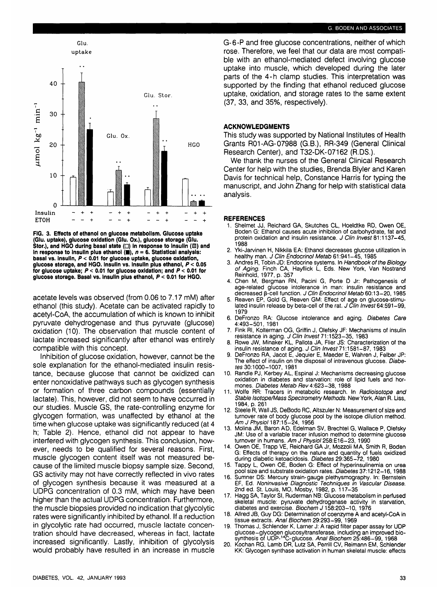

**FIG. 3. Effects of ethanol on glucose metabolism. Glucose uptake (Glu. uptake), glucose oxidation (Glu. Ox.), glucose storage (Glu. Stor.), and HGO during basal state (**□) in response to Insulin (**図**) and in response to insulin plus ethanol  $(\blacksquare)$ ,  $n = 6$ . Statistical analysis: **basal vs. Insulin, P < 0.01 for glucose uptake, glucose oxidation, glucose storage, and HGO. Insulin vs. Insulin plus ethanol, P < 0.05 for glucose uptake; P < 0.01 for glucose oxidation; and P < 0.01 for glucose storage. Basal vs. Insulin plus ethanol, P < 0.01 for HGO.**

acetate levels was observed (from 0.06 to 7.17 mM) after ethanol (this study). Acetate can be activated rapidly to acetyl-CoA, the accumulation of which is known to inhibit pyruvate dehydrogenase and thus pyruvate (glucose) oxidation (10). The observation that muscle content of lactate increased significantly after ethanol was entirely compatible with this concept.

Inhibition of glucose oxidation, however, cannot be the sole explanation for the ethanol-mediated insulin resistance, because glucose that cannot be oxidized can enter nonoxidative pathways such as glycogen synthesis or formation of three carbon compounds (essentially lactate). This, however, did not seem to have occurred in our studies. Muscle GS, the rate-controlling enzyme for glycogen formation, was unaffected by ethanol at the time when glucose uptake was significantly reduced (at 4 h; Table 2). Hence, ethanol did not appear to have interfered with glycogen synthesis. This conclusion, however, needs to be qualified for several reasons. First, muscle glycogen content itself was not measured because of the limited muscle biopsy sample size. Second, GS activity may not have correctly reflected in vivo rates of glycogen synthesis because it was measured at a UDPG concentration of 0.3 mM, which may have been higher than the actual UDPG concentration. Furthermore, the muscle biopsies provided no indication that glycolytic rates were significantly inhibited by ethanol. If a reduction in glycolytic rate had occurred, muscle lactate concentration should have decreased, whereas in fact, lactate increased significantly. Lastly, inhibition of glycolysis would probably have resulted in an increase in muscle

#### G. BODEN AND ASSOCIATES

G-6-P and free glucose concentrations, neither of which rose. Therefore, we feel that our data are most compatible with an ethanol-mediated defect involving glucose uptake into muscle, which developed during the later parts of the 4-h clamp studies. This interpretation was supported by the finding that ethanol reduced glucose uptake, oxidation, and storage rates to the same extent (37, 33, and 35%, respectively).

### **ACKNOWLEDGMENTS**

This study was supported by National Institutes of Health HGO Grants R01-AG-07988 (G.B.), RR-349 (General Clinical Research Center), and T32-DK-07162 (R.DS.).

> We thank the nurses of the General Clinical Research Center for help with the studies, Brenda Blyler and Karen Davis for technical help, Constance Harris for typing the manuscript, and John Zhang for help with statistical data analysis.

#### **REFERENCES**

- 1. Shelmet JJ, Reichard GA, Skutches CL, Hoeldtke RD, Owen OE, Boden G: Ethanol causes acute inhibition of carbohydrate, fat and protein oxidation and insulin resistance. J Clin Invest 81:1137-45,<br>1988
- 2. Yki-Jarvinen H, Nikkila EA: Ethanol decreases glucose utilization in healthy man. J Clin Endocrinol Metab 61:941-45, 1985
- 3. Andres R, Tobin JD: Endocrine systems. In Handbook of the Biology of Aging. Finch CA, Hayflick L, Eds. New York, Van Nostrand Reinhold, 1977, p. 357
- 4. Chen M, Bergman RN, Pacini G, Porte D Jr: Pathogenesis of age-related glucose intolerance in man: insulin resistance and decreased β-cell function. J Clin Endocrinol Metab 60:13-20, 1985
- 5. Reaven EP, Gold G, Reaven GM: Effect of age on glucose-stimu-<br>lated insulin release by beta-cell of the rat. J Clin Invest 64:591-99,<br>1979
- 6. DeFronzo RA: Glucose intolerance and aging. Diabetes Care 4:493-501, 1981
- 7. Fink Rl, Kolterman OG, Griffin J, Olefsky JF: Mechanisms of insulin resistance in aging. J Clin Invest 71:1523-35, 1983<br>8. Rowe JW, Minaker KL, Pallota JA, Flier JS: Characterization of the
- 8. Rowe JW, Minaker KL, Pallota JA, Flier JS: Characterization of the insulin resistance of aging. J Clin Invest 71:1581-87, 1983
- 9. DeFronzo RA, Jacot E, Jequier E, Maeder E, Wahren J, Felber JP:<br>The effect of insulin on the disposal of intravenous glucose. Diabetes 30:1000-1007, 1981
- 10. Randle PJ, Kerbey AL, Espinal J: Mechanisms decreasing glucose oxidation in diabetes and starvation: role of lipid fuels and hor- mones. Diabetes Metab Rev 4:623-38, 1988
- 11. Wolfe RR: Tracers in metabolic research. In Radioisotope and Stable Isotope/Mass Spectrometry Methods. New York, Alan R. Liss,<br>1984, p. 261
- 12. Steele R, Wall JS, DeBodo RC, Altszuler N: Measurement of size and turnover rate of body glucose pool by the isotope dilution method.<br>Am J Physiol 187:15-24, 1956
- 13. Molina JM, Baron AD, Edelman SV, Brechtel G, Wallace P, Olefsky JM: Use of a variable tracer infusion method to determine glucose<br>turnover in humans. Am J Physiol 258:E16-23, 1990
- 14. Owen OE, Trapp VE, Reichard GA Jr, Mozzoli MA, Smith R, Boden G: Effects of therapy on the nature and quantity of fuels oxidized during diabetic ketoacidosis. Diabetes 29:365-72, 1980<br>15. Tappy L, Owen OE, Boden G: Effect of hyperinsulinemia on urea
- pool size and substrate oxidation rates. Diabetes 37:1212-16, 1988
- 16. Sumner DS: Mercury strain-gauge plethysmography. In: Bernstein EF, Ed. Noninvasive Diagnostic Techniques in Vascular Disease. 2nd ed. St. Louis, MO, Mosby, 1982, p. 117-35
- 17. Hagg SA, Taylor SI, Ruderman NB: Glucose metabolism in perfused skeletal muscle: pyruvate dehydrogenase activity in starvation, diabetes and exercise. Biochem J 158:203-10, 1976
- 18. Allred JB, Guy DG: Determination of coenzyme A and acetyl-CoA in tissue extracts. Anal Biochem 29:293-99, 1969
- 19. Thomas J, Schlender K, Lamer J: A rapid filter paper assay for UDP glucose-glycogen glucosyltransferase, including an improved bio-<br>synthesis of UDP-<sup>14</sup>C-glucose. *Anal Biochem* 25:486-99, 1968
- 20. Kochan RG, Lamb DR, Lutz SA, Perrill CV, Reimann EM, Schlender KK: Glycogen synthase activation in human skeletal muscle: effects